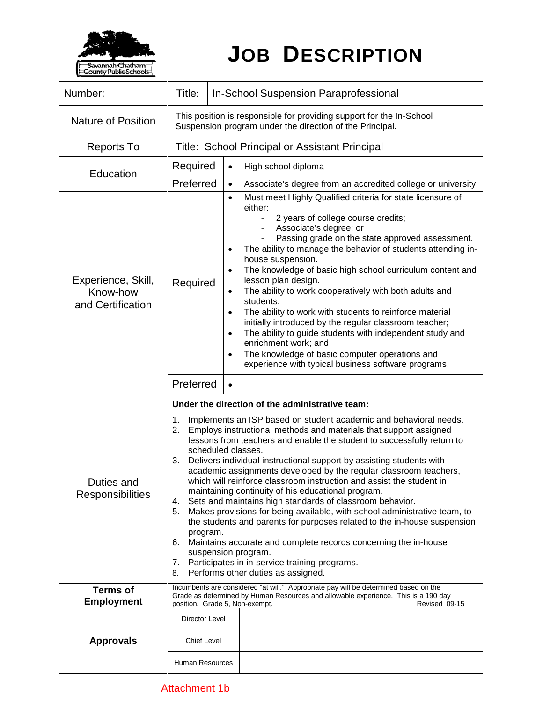| <b>Savannah:Chatham<br/>:ounty Public Schools-</b>  |                                                                                                                                                                                                                                                                                                                                                                                                                                                                                                                                                                                                                                                                                                                                                                                                                                                                                                                                                                                                                                     | <b>JOB DESCRIPTION</b>                                                                                                                                                                                                                                                                                                                                                                                                                                                                                                                                                                                                                                                                                                                                    |  |
|-----------------------------------------------------|-------------------------------------------------------------------------------------------------------------------------------------------------------------------------------------------------------------------------------------------------------------------------------------------------------------------------------------------------------------------------------------------------------------------------------------------------------------------------------------------------------------------------------------------------------------------------------------------------------------------------------------------------------------------------------------------------------------------------------------------------------------------------------------------------------------------------------------------------------------------------------------------------------------------------------------------------------------------------------------------------------------------------------------|-----------------------------------------------------------------------------------------------------------------------------------------------------------------------------------------------------------------------------------------------------------------------------------------------------------------------------------------------------------------------------------------------------------------------------------------------------------------------------------------------------------------------------------------------------------------------------------------------------------------------------------------------------------------------------------------------------------------------------------------------------------|--|
| Number:                                             | Title:                                                                                                                                                                                                                                                                                                                                                                                                                                                                                                                                                                                                                                                                                                                                                                                                                                                                                                                                                                                                                              | <b>In-School Suspension Paraprofessional</b>                                                                                                                                                                                                                                                                                                                                                                                                                                                                                                                                                                                                                                                                                                              |  |
| <b>Nature of Position</b>                           | This position is responsible for providing support for the In-School<br>Suspension program under the direction of the Principal.                                                                                                                                                                                                                                                                                                                                                                                                                                                                                                                                                                                                                                                                                                                                                                                                                                                                                                    |                                                                                                                                                                                                                                                                                                                                                                                                                                                                                                                                                                                                                                                                                                                                                           |  |
| <b>Reports To</b>                                   | Title: School Principal or Assistant Principal                                                                                                                                                                                                                                                                                                                                                                                                                                                                                                                                                                                                                                                                                                                                                                                                                                                                                                                                                                                      |                                                                                                                                                                                                                                                                                                                                                                                                                                                                                                                                                                                                                                                                                                                                                           |  |
|                                                     | Required                                                                                                                                                                                                                                                                                                                                                                                                                                                                                                                                                                                                                                                                                                                                                                                                                                                                                                                                                                                                                            | High school diploma<br>$\bullet$                                                                                                                                                                                                                                                                                                                                                                                                                                                                                                                                                                                                                                                                                                                          |  |
|                                                     | Preferred                                                                                                                                                                                                                                                                                                                                                                                                                                                                                                                                                                                                                                                                                                                                                                                                                                                                                                                                                                                                                           | Associate's degree from an accredited college or university<br>$\bullet$                                                                                                                                                                                                                                                                                                                                                                                                                                                                                                                                                                                                                                                                                  |  |
| Experience, Skill,<br>Know-how<br>and Certification | Required                                                                                                                                                                                                                                                                                                                                                                                                                                                                                                                                                                                                                                                                                                                                                                                                                                                                                                                                                                                                                            | $\bullet$<br>either:<br>2 years of college course credits;<br>$ \,$<br>Associate's degree; or<br>Passing grade on the state approved assessment.<br>The ability to manage the behavior of students attending in-<br>house suspension.<br>The knowledge of basic high school curriculum content and<br>lesson plan design.<br>The ability to work cooperatively with both adults and<br>students.<br>The ability to work with students to reinforce material<br>$\bullet$<br>initially introduced by the regular classroom teacher;<br>The ability to guide students with independent study and<br>$\bullet$<br>enrichment work; and<br>The knowledge of basic computer operations and<br>$\bullet$<br>experience with typical business software programs. |  |
|                                                     | Preferred                                                                                                                                                                                                                                                                                                                                                                                                                                                                                                                                                                                                                                                                                                                                                                                                                                                                                                                                                                                                                           | $\bullet$                                                                                                                                                                                                                                                                                                                                                                                                                                                                                                                                                                                                                                                                                                                                                 |  |
| Duties and<br><b>Responsibilities</b>               | Under the direction of the administrative team:<br>Implements an ISP based on student academic and behavioral needs.<br>1.<br>Employs instructional methods and materials that support assigned<br>2.<br>lessons from teachers and enable the student to successfully return to<br>scheduled classes.<br>Delivers individual instructional support by assisting students with<br>3.<br>academic assignments developed by the regular classroom teachers,<br>which will reinforce classroom instruction and assist the student in<br>maintaining continuity of his educational program.<br>Sets and maintains high standards of classroom behavior.<br>4.<br>Makes provisions for being available, with school administrative team, to<br>5.<br>the students and parents for purposes related to the in-house suspension<br>program.<br>Maintains accurate and complete records concerning the in-house<br>6.<br>suspension program.<br>7. Participates in in-service training programs.<br>Performs other duties as assigned.<br>8. |                                                                                                                                                                                                                                                                                                                                                                                                                                                                                                                                                                                                                                                                                                                                                           |  |
| <b>Terms of</b><br><b>Employment</b>                | Incumbents are considered "at will." Appropriate pay will be determined based on the<br>Grade as determined by Human Resources and allowable experience. This is a 190 day<br>position. Grade 5, Non-exempt.<br>Revised 09-15                                                                                                                                                                                                                                                                                                                                                                                                                                                                                                                                                                                                                                                                                                                                                                                                       |                                                                                                                                                                                                                                                                                                                                                                                                                                                                                                                                                                                                                                                                                                                                                           |  |
|                                                     | Director Level                                                                                                                                                                                                                                                                                                                                                                                                                                                                                                                                                                                                                                                                                                                                                                                                                                                                                                                                                                                                                      |                                                                                                                                                                                                                                                                                                                                                                                                                                                                                                                                                                                                                                                                                                                                                           |  |
| <b>Approvals</b>                                    | <b>Chief Level</b>                                                                                                                                                                                                                                                                                                                                                                                                                                                                                                                                                                                                                                                                                                                                                                                                                                                                                                                                                                                                                  |                                                                                                                                                                                                                                                                                                                                                                                                                                                                                                                                                                                                                                                                                                                                                           |  |
| Education                                           | Human Resources                                                                                                                                                                                                                                                                                                                                                                                                                                                                                                                                                                                                                                                                                                                                                                                                                                                                                                                                                                                                                     | Must meet Highly Qualified criteria for state licensure of                                                                                                                                                                                                                                                                                                                                                                                                                                                                                                                                                                                                                                                                                                |  |

## Attachment 1b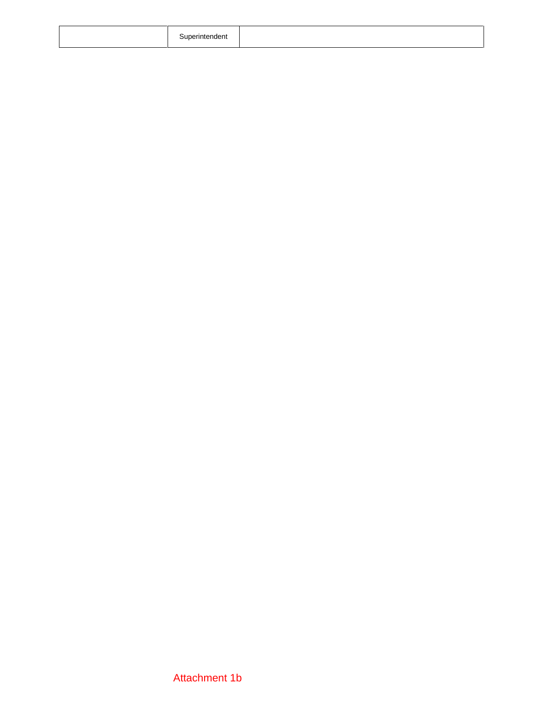|  | Superintendent |  |  |
|--|----------------|--|--|
|--|----------------|--|--|

## Attachment 1b